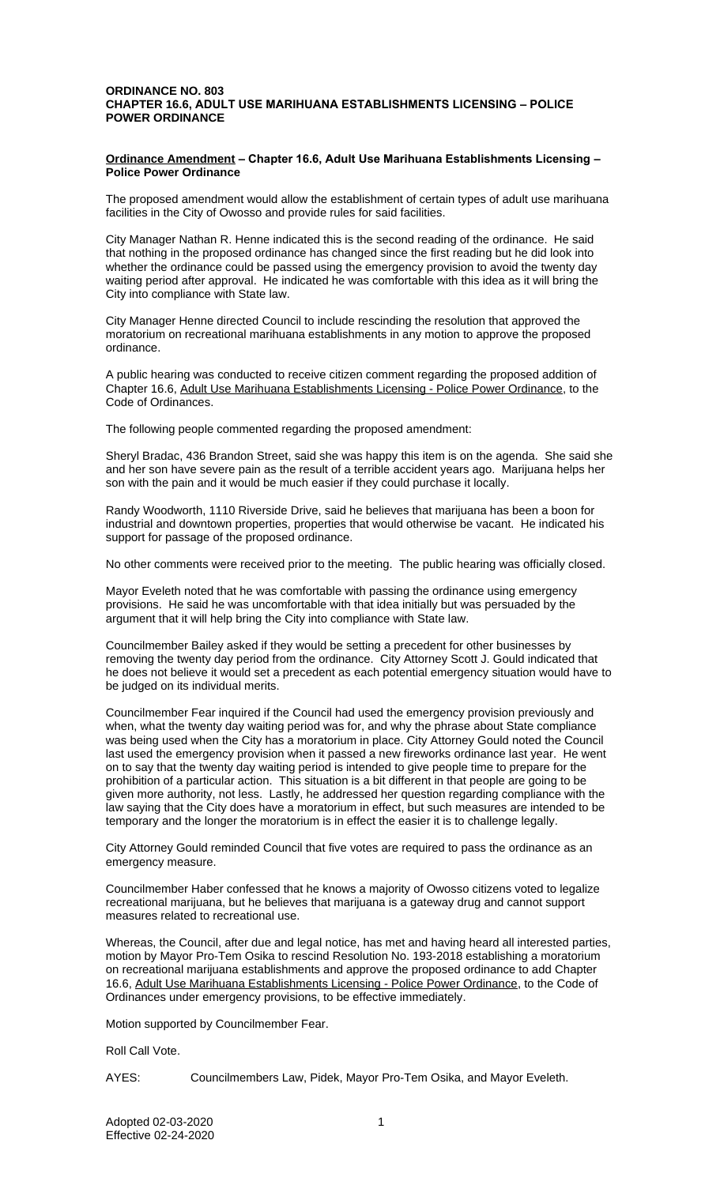#### **ORDINANCE NO. 803 CHAPTER 16.6, ADULT USE MARIHUANA ESTABLISHMENTS LICENSING – POLICE POWER ORDINANCE**

#### **Ordinance Amendment – Chapter 16.6, Adult Use Marihuana Establishments Licensing – Police Power Ordinance**

The proposed amendment would allow the establishment of certain types of adult use marihuana facilities in the City of Owosso and provide rules for said facilities.

City Manager Nathan R. Henne indicated this is the second reading of the ordinance. He said that nothing in the proposed ordinance has changed since the first reading but he did look into whether the ordinance could be passed using the emergency provision to avoid the twenty day waiting period after approval. He indicated he was comfortable with this idea as it will bring the City into compliance with State law.

City Manager Henne directed Council to include rescinding the resolution that approved the moratorium on recreational marihuana establishments in any motion to approve the proposed ordinance.

A public hearing was conducted to receive citizen comment regarding the proposed addition of Chapter 16.6, Adult Use Marihuana Establishments Licensing - Police Power Ordinance, to the Code of Ordinances.

The following people commented regarding the proposed amendment:

Sheryl Bradac, 436 Brandon Street, said she was happy this item is on the agenda. She said she and her son have severe pain as the result of a terrible accident years ago. Marijuana helps her son with the pain and it would be much easier if they could purchase it locally.

Randy Woodworth, 1110 Riverside Drive, said he believes that marijuana has been a boon for industrial and downtown properties, properties that would otherwise be vacant. He indicated his support for passage of the proposed ordinance.

No other comments were received prior to the meeting. The public hearing was officially closed.

Mayor Eveleth noted that he was comfortable with passing the ordinance using emergency provisions. He said he was uncomfortable with that idea initially but was persuaded by the argument that it will help bring the City into compliance with State law.

Councilmember Bailey asked if they would be setting a precedent for other businesses by removing the twenty day period from the ordinance. City Attorney Scott J. Gould indicated that he does not believe it would set a precedent as each potential emergency situation would have to be judged on its individual merits.

Councilmember Fear inquired if the Council had used the emergency provision previously and when, what the twenty day waiting period was for, and why the phrase about State compliance was being used when the City has a moratorium in place. City Attorney Gould noted the Council last used the emergency provision when it passed a new fireworks ordinance last year. He went on to say that the twenty day waiting period is intended to give people time to prepare for the prohibition of a particular action. This situation is a bit different in that people are going to be given more authority, not less. Lastly, he addressed her question regarding compliance with the law saying that the City does have a moratorium in effect, but such measures are intended to be temporary and the longer the moratorium is in effect the easier it is to challenge legally.

City Attorney Gould reminded Council that five votes are required to pass the ordinance as an emergency measure.

Councilmember Haber confessed that he knows a majority of Owosso citizens voted to legalize recreational marijuana, but he believes that marijuana is a gateway drug and cannot support measures related to recreational use.

Whereas, the Council, after due and legal notice, has met and having heard all interested parties, motion by Mayor Pro-Tem Osika to rescind Resolution No. 193-2018 establishing a moratorium on recreational marijuana establishments and approve the proposed ordinance to add Chapter 16.6, Adult Use Marihuana Establishments Licensing - Police Power Ordinance, to the Code of Ordinances under emergency provisions, to be effective immediately.

Motion supported by Councilmember Fear.

Roll Call Vote.

AYES: Councilmembers Law, Pidek, Mayor Pro-Tem Osika, and Mayor Eveleth.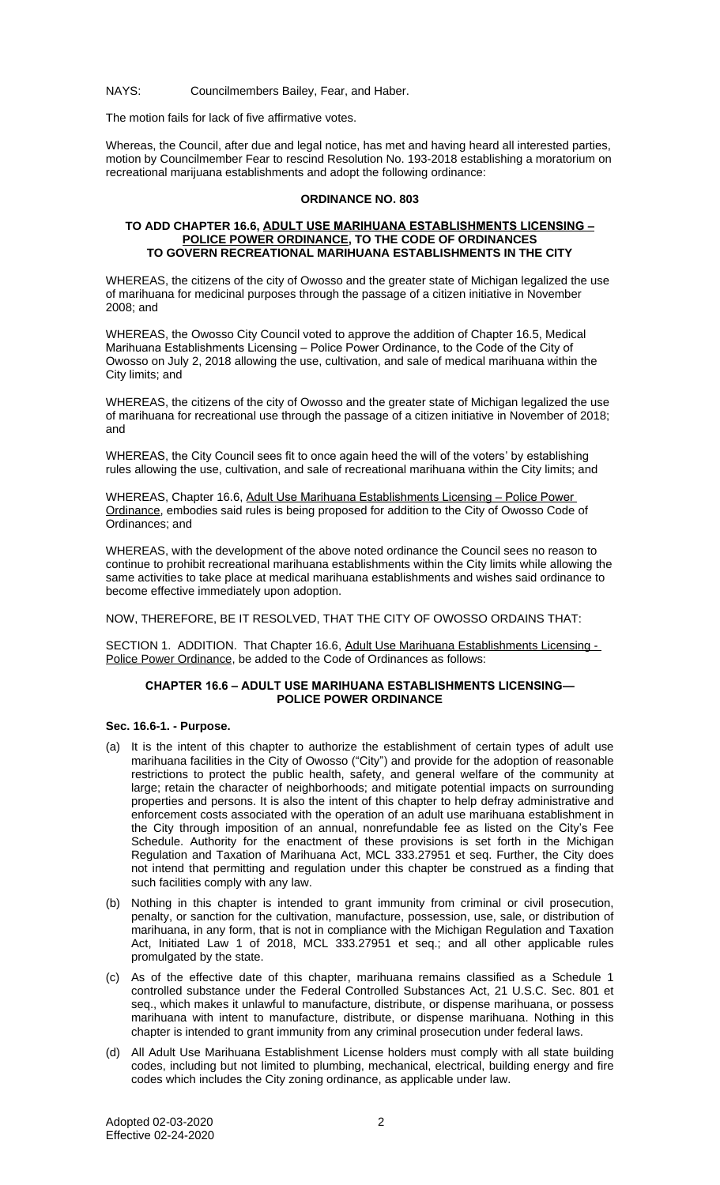## NAYS: Councilmembers Bailey, Fear, and Haber.

The motion fails for lack of five affirmative votes.

Whereas, the Council, after due and legal notice, has met and having heard all interested parties, motion by Councilmember Fear to rescind Resolution No. 193-2018 establishing a moratorium on recreational marijuana establishments and adopt the following ordinance:

# **ORDINANCE NO. 803**

## **TO ADD CHAPTER 16.6, ADULT USE MARIHUANA ESTABLISHMENTS LICENSING – POLICE POWER ORDINANCE, TO THE CODE OF ORDINANCES TO GOVERN RECREATIONAL MARIHUANA ESTABLISHMENTS IN THE CITY**

WHEREAS, the citizens of the city of Owosso and the greater state of Michigan legalized the use of marihuana for medicinal purposes through the passage of a citizen initiative in November 2008; and

WHEREAS, the Owosso City Council voted to approve the addition of Chapter 16.5, Medical Marihuana Establishments Licensing – Police Power Ordinance, to the Code of the City of Owosso on July 2, 2018 allowing the use, cultivation, and sale of medical marihuana within the City limits; and

WHEREAS, the citizens of the city of Owosso and the greater state of Michigan legalized the use of marihuana for recreational use through the passage of a citizen initiative in November of 2018; and

WHEREAS, the City Council sees fit to once again heed the will of the voters' by establishing rules allowing the use, cultivation, and sale of recreational marihuana within the City limits; and

WHEREAS, Chapter 16.6, Adult Use Marihuana Establishments Licensing - Police Power Ordinance, embodies said rules is being proposed for addition to the City of Owosso Code of Ordinances; and

WHEREAS, with the development of the above noted ordinance the Council sees no reason to continue to prohibit recreational marihuana establishments within the City limits while allowing the same activities to take place at medical marihuana establishments and wishes said ordinance to become effective immediately upon adoption.

NOW, THEREFORE, BE IT RESOLVED, THAT THE CITY OF OWOSSO ORDAINS THAT:

SECTION 1. ADDITION. That Chapter 16.6, Adult Use Marihuana Establishments Licensing -Police Power Ordinance, be added to the Code of Ordinances as follows:

# **CHAPTER 16.6 – ADULT USE MARIHUANA ESTABLISHMENTS LICENSING— POLICE POWER ORDINANCE**

# **Sec. 16.6-1. - Purpose.**

- (a) It is the intent of this chapter to authorize the establishment of certain types of adult use marihuana facilities in the City of Owosso ("City") and provide for the adoption of reasonable restrictions to protect the public health, safety, and general welfare of the community at large; retain the character of neighborhoods; and mitigate potential impacts on surrounding properties and persons. It is also the intent of this chapter to help defray administrative and enforcement costs associated with the operation of an adult use marihuana establishment in the City through imposition of an annual, nonrefundable fee as listed on the City's Fee Schedule. Authority for the enactment of these provisions is set forth in the Michigan Regulation and Taxation of Marihuana Act, MCL 333.27951 et seq. Further, the City does not intend that permitting and regulation under this chapter be construed as a finding that such facilities comply with any law.
- (b) Nothing in this chapter is intended to grant immunity from criminal or civil prosecution, penalty, or sanction for the cultivation, manufacture, possession, use, sale, or distribution of marihuana, in any form, that is not in compliance with the Michigan Regulation and Taxation Act, Initiated Law 1 of 2018, MCL 333.27951 et seq.; and all other applicable rules promulgated by the state.
- (c) As of the effective date of this chapter, marihuana remains classified as a Schedule 1 controlled substance under the Federal Controlled Substances Act, 21 U.S.C. Sec. 801 et seq., which makes it unlawful to manufacture, distribute, or dispense marihuana, or possess marihuana with intent to manufacture, distribute, or dispense marihuana. Nothing in this chapter is intended to grant immunity from any criminal prosecution under federal laws.
- (d) All Adult Use Marihuana Establishment License holders must comply with all state building codes, including but not limited to plumbing, mechanical, electrical, building energy and fire codes which includes the City zoning ordinance, as applicable under law.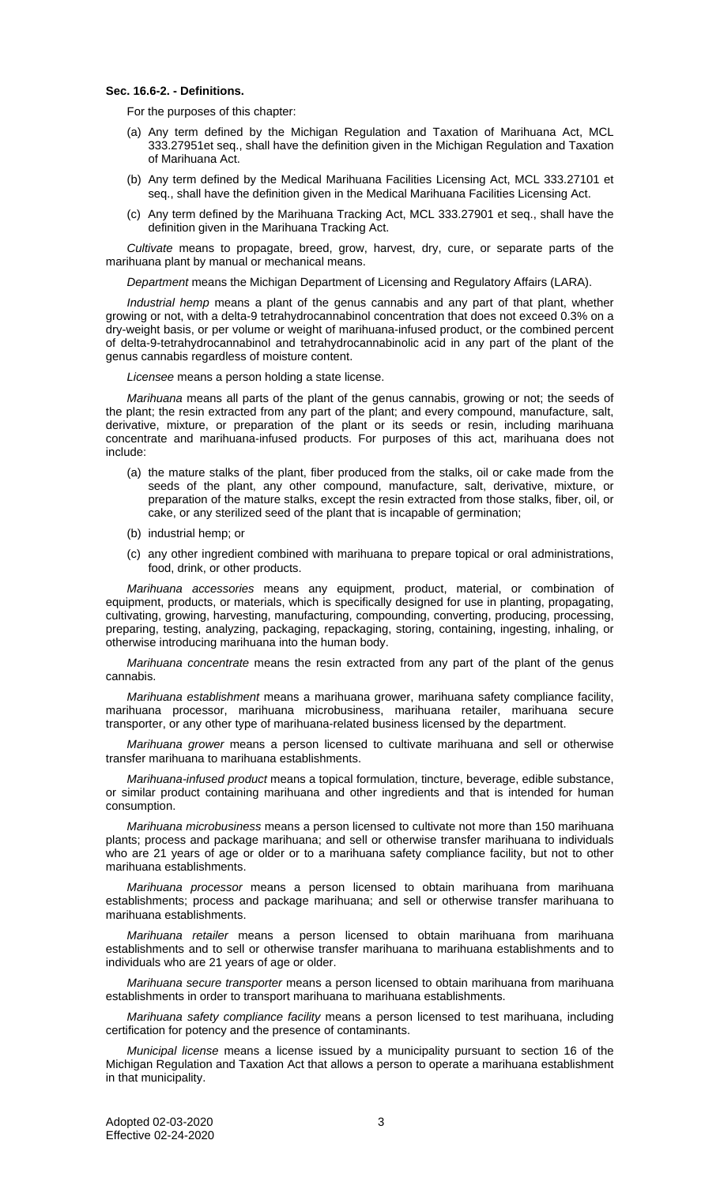#### **Sec. 16.6-2. - Definitions.**

For the purposes of this chapter:

- (a) Any term defined by the Michigan Regulation and Taxation of Marihuana Act, MCL 333.27951et seq., shall have the definition given in the Michigan Regulation and Taxation of Marihuana Act.
- (b) Any term defined by the Medical Marihuana Facilities Licensing Act, MCL 333.27101 et seq., shall have the definition given in the Medical Marihuana Facilities Licensing Act.
- (c) Any term defined by the Marihuana Tracking Act, MCL 333.27901 et seq., shall have the definition given in the Marihuana Tracking Act.

*Cultivate* means to propagate, breed, grow, harvest, dry, cure, or separate parts of the marihuana plant by manual or mechanical means.

*Department* means the Michigan Department of Licensing and Regulatory Affairs (LARA).

*Industrial hemp* means a plant of the genus cannabis and any part of that plant, whether growing or not, with a delta-9 tetrahydrocannabinol concentration that does not exceed 0.3% on a dry-weight basis, or per volume or weight of marihuana-infused product, or the combined percent of delta-9-tetrahydrocannabinol and tetrahydrocannabinolic acid in any part of the plant of the genus cannabis regardless of moisture content.

*Licensee* means a person holding a state license.

*Marihuana* means all parts of the plant of the genus cannabis, growing or not; the seeds of the plant; the resin extracted from any part of the plant; and every compound, manufacture, salt, derivative, mixture, or preparation of the plant or its seeds or resin, including marihuana concentrate and marihuana-infused products. For purposes of this act, marihuana does not include:

- (a) the mature stalks of the plant, fiber produced from the stalks, oil or cake made from the seeds of the plant, any other compound, manufacture, salt, derivative, mixture, or preparation of the mature stalks, except the resin extracted from those stalks, fiber, oil, or cake, or any sterilized seed of the plant that is incapable of germination;
- (b) industrial hemp; or
- (c) any other ingredient combined with marihuana to prepare topical or oral administrations, food, drink, or other products.

*Marihuana accessories* means any equipment, product, material, or combination of equipment, products, or materials, which is specifically designed for use in planting, propagating, cultivating, growing, harvesting, manufacturing, compounding, converting, producing, processing, preparing, testing, analyzing, packaging, repackaging, storing, containing, ingesting, inhaling, or otherwise introducing marihuana into the human body.

*Marihuana concentrate* means the resin extracted from any part of the plant of the genus cannabis.

*Marihuana establishment* means a marihuana grower, marihuana safety compliance facility, marihuana processor, marihuana microbusiness, marihuana retailer, marihuana secure transporter, or any other type of marihuana-related business licensed by the department.

*Marihuana grower* means a person licensed to cultivate marihuana and sell or otherwise transfer marihuana to marihuana establishments.

*Marihuana-infused product* means a topical formulation, tincture, beverage, edible substance, or similar product containing marihuana and other ingredients and that is intended for human consumption.

*Marihuana microbusiness* means a person licensed to cultivate not more than 150 marihuana plants; process and package marihuana; and sell or otherwise transfer marihuana to individuals who are 21 years of age or older or to a marihuana safety compliance facility, but not to other marihuana establishments.

*Marihuana processor* means a person licensed to obtain marihuana from marihuana establishments; process and package marihuana; and sell or otherwise transfer marihuana to marihuana establishments.

*Marihuana retailer* means a person licensed to obtain marihuana from marihuana establishments and to sell or otherwise transfer marihuana to marihuana establishments and to individuals who are 21 years of age or older.

*Marihuana secure transporter* means a person licensed to obtain marihuana from marihuana establishments in order to transport marihuana to marihuana establishments.

*Marihuana safety compliance facility* means a person licensed to test marihuana, including certification for potency and the presence of contaminants.

*Municipal license* means a license issued by a municipality pursuant to section 16 of the Michigan Regulation and Taxation Act that allows a person to operate a marihuana establishment in that municipality.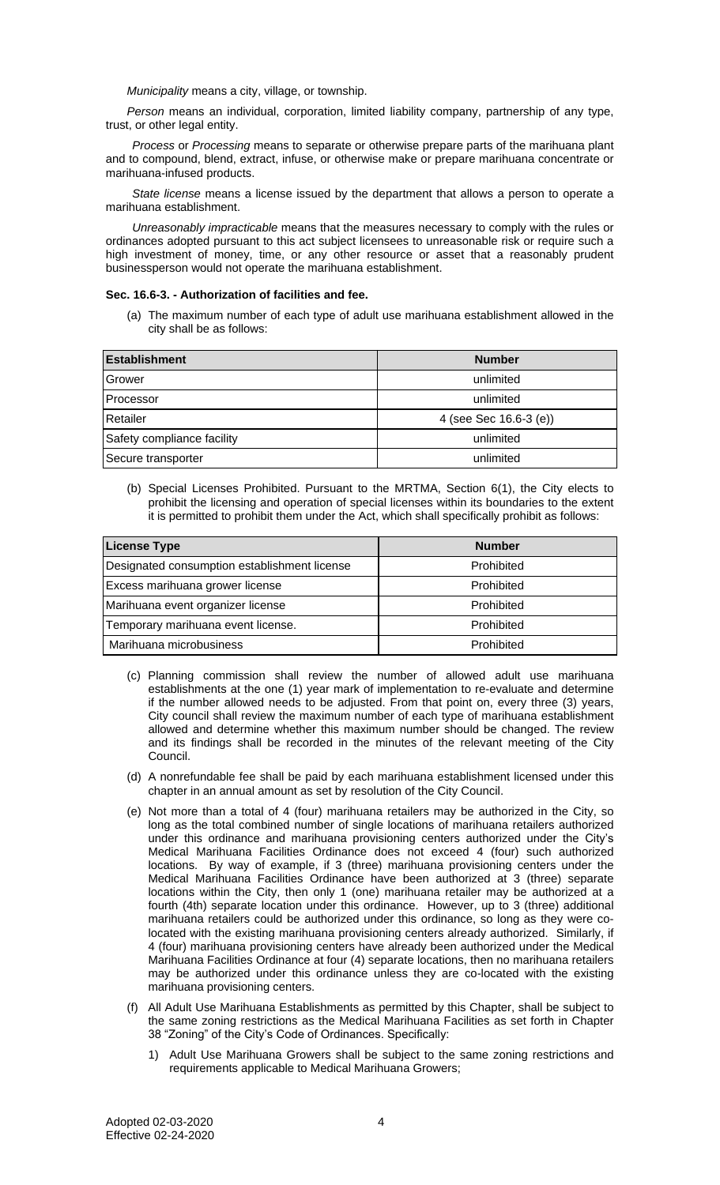*Municipality* means a city, village, or township.

*Person* means an individual, corporation, limited liability company, partnership of any type, trust, or other legal entity.

*Process* or *Processing* means to separate or otherwise prepare parts of the marihuana plant and to compound, blend, extract, infuse, or otherwise make or prepare marihuana concentrate or marihuana-infused products.

*State license* means a license issued by the department that allows a person to operate a marihuana establishment.

*Unreasonably impracticable* means that the measures necessary to comply with the rules or ordinances adopted pursuant to this act subject licensees to unreasonable risk or require such a high investment of money, time, or any other resource or asset that a reasonably prudent businessperson would not operate the marihuana establishment.

#### **Sec. 16.6-3. - Authorization of facilities and fee.**

(a) The maximum number of each type of adult use marihuana establishment allowed in the city shall be as follows:

| <b>Establishment</b>       | <b>Number</b>          |
|----------------------------|------------------------|
| Grower                     | unlimited              |
| Processor                  | unlimited              |
| Retailer                   | 4 (see Sec 16.6-3 (e)) |
| Safety compliance facility | unlimited              |
| Secure transporter         | unlimited              |

(b) Special Licenses Prohibited. Pursuant to the MRTMA, Section 6(1), the City elects to prohibit the licensing and operation of special licenses within its boundaries to the extent it is permitted to prohibit them under the Act, which shall specifically prohibit as follows:

| <b>License Type</b>                          | <b>Number</b> |
|----------------------------------------------|---------------|
| Designated consumption establishment license | Prohibited    |
| Excess marihuana grower license              | Prohibited    |
| Marihuana event organizer license            | Prohibited    |
| Temporary marihuana event license.           | Prohibited    |
| Marihuana microbusiness                      | Prohibited    |

- (c) Planning commission shall review the number of allowed adult use marihuana establishments at the one (1) year mark of implementation to re-evaluate and determine if the number allowed needs to be adjusted. From that point on, every three (3) years, City council shall review the maximum number of each type of marihuana establishment allowed and determine whether this maximum number should be changed. The review and its findings shall be recorded in the minutes of the relevant meeting of the City Council.
- (d) A nonrefundable fee shall be paid by each marihuana establishment licensed under this chapter in an annual amount as set by resolution of the City Council.
- (e) Not more than a total of 4 (four) marihuana retailers may be authorized in the City, so long as the total combined number of single locations of marihuana retailers authorized under this ordinance and marihuana provisioning centers authorized under the City's Medical Marihuana Facilities Ordinance does not exceed 4 (four) such authorized locations. By way of example, if 3 (three) marihuana provisioning centers under the Medical Marihuana Facilities Ordinance have been authorized at 3 (three) separate locations within the City, then only 1 (one) marihuana retailer may be authorized at a fourth (4th) separate location under this ordinance. However, up to 3 (three) additional marihuana retailers could be authorized under this ordinance, so long as they were colocated with the existing marihuana provisioning centers already authorized. Similarly, if 4 (four) marihuana provisioning centers have already been authorized under the Medical Marihuana Facilities Ordinance at four (4) separate locations, then no marihuana retailers may be authorized under this ordinance unless they are co-located with the existing marihuana provisioning centers.
- (f) All Adult Use Marihuana Establishments as permitted by this Chapter, shall be subject to the same zoning restrictions as the Medical Marihuana Facilities as set forth in Chapter 38 "Zoning" of the City's Code of Ordinances. Specifically:
	- 1) Adult Use Marihuana Growers shall be subject to the same zoning restrictions and requirements applicable to Medical Marihuana Growers;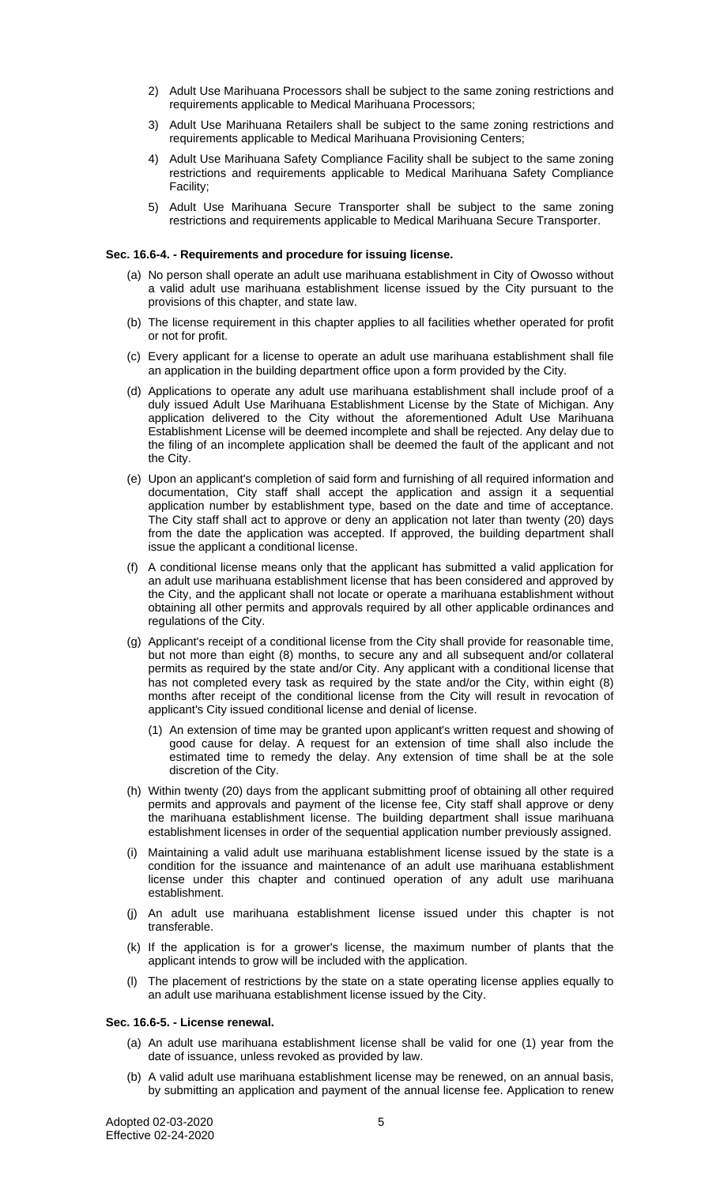- 2) Adult Use Marihuana Processors shall be subject to the same zoning restrictions and requirements applicable to Medical Marihuana Processors;
- 3) Adult Use Marihuana Retailers shall be subject to the same zoning restrictions and requirements applicable to Medical Marihuana Provisioning Centers;
- 4) Adult Use Marihuana Safety Compliance Facility shall be subject to the same zoning restrictions and requirements applicable to Medical Marihuana Safety Compliance Facility;
- 5) Adult Use Marihuana Secure Transporter shall be subject to the same zoning restrictions and requirements applicable to Medical Marihuana Secure Transporter.

## **Sec. 16.6-4. - Requirements and procedure for issuing license.**

- (a) No person shall operate an adult use marihuana establishment in City of Owosso without a valid adult use marihuana establishment license issued by the City pursuant to the provisions of this chapter, and state law.
- (b) The license requirement in this chapter applies to all facilities whether operated for profit or not for profit.
- (c) Every applicant for a license to operate an adult use marihuana establishment shall file an application in the building department office upon a form provided by the City.
- (d) Applications to operate any adult use marihuana establishment shall include proof of a duly issued Adult Use Marihuana Establishment License by the State of Michigan. Any application delivered to the City without the aforementioned Adult Use Marihuana Establishment License will be deemed incomplete and shall be rejected. Any delay due to the filing of an incomplete application shall be deemed the fault of the applicant and not the City.
- (e) Upon an applicant's completion of said form and furnishing of all required information and documentation, City staff shall accept the application and assign it a sequential application number by establishment type, based on the date and time of acceptance. The City staff shall act to approve or deny an application not later than twenty (20) days from the date the application was accepted. If approved, the building department shall issue the applicant a conditional license.
- (f) A conditional license means only that the applicant has submitted a valid application for an adult use marihuana establishment license that has been considered and approved by the City, and the applicant shall not locate or operate a marihuana establishment without obtaining all other permits and approvals required by all other applicable ordinances and regulations of the City.
- (g) Applicant's receipt of a conditional license from the City shall provide for reasonable time, but not more than eight (8) months, to secure any and all subsequent and/or collateral permits as required by the state and/or City. Any applicant with a conditional license that has not completed every task as required by the state and/or the City, within eight (8) months after receipt of the conditional license from the City will result in revocation of applicant's City issued conditional license and denial of license.
	- (1) An extension of time may be granted upon applicant's written request and showing of good cause for delay. A request for an extension of time shall also include the estimated time to remedy the delay. Any extension of time shall be at the sole discretion of the City.
- (h) Within twenty (20) days from the applicant submitting proof of obtaining all other required permits and approvals and payment of the license fee, City staff shall approve or deny the marihuana establishment license. The building department shall issue marihuana establishment licenses in order of the sequential application number previously assigned.
- (i) Maintaining a valid adult use marihuana establishment license issued by the state is a condition for the issuance and maintenance of an adult use marihuana establishment license under this chapter and continued operation of any adult use marihuana establishment.
- (j) An adult use marihuana establishment license issued under this chapter is not transferable.
- (k) If the application is for a grower's license, the maximum number of plants that the applicant intends to grow will be included with the application.
- (l) The placement of restrictions by the state on a state operating license applies equally to an adult use marihuana establishment license issued by the City.

## **Sec. 16.6-5. - License renewal.**

- (a) An adult use marihuana establishment license shall be valid for one (1) year from the date of issuance, unless revoked as provided by law.
- (b) A valid adult use marihuana establishment license may be renewed, on an annual basis, by submitting an application and payment of the annual license fee. Application to renew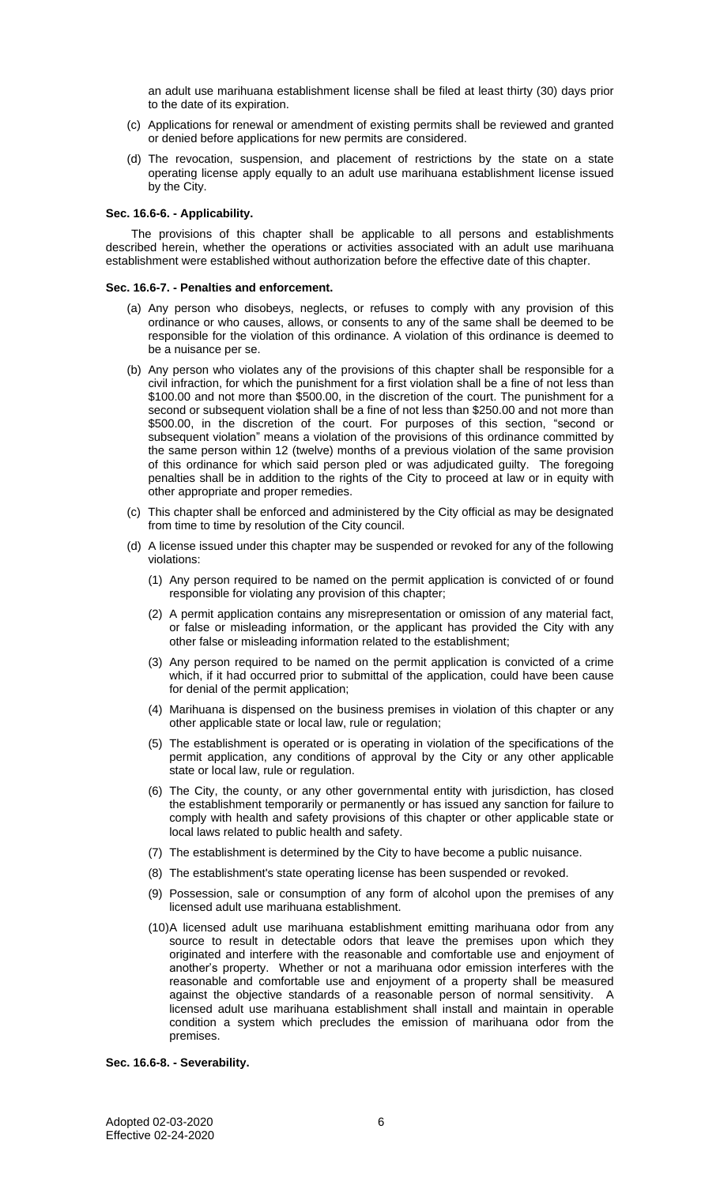an adult use marihuana establishment license shall be filed at least thirty (30) days prior to the date of its expiration.

- (c) Applications for renewal or amendment of existing permits shall be reviewed and granted or denied before applications for new permits are considered.
- (d) The revocation, suspension, and placement of restrictions by the state on a state operating license apply equally to an adult use marihuana establishment license issued by the City.

## **Sec. 16.6-6. - Applicability.**

The provisions of this chapter shall be applicable to all persons and establishments described herein, whether the operations or activities associated with an adult use marihuana establishment were established without authorization before the effective date of this chapter.

#### **Sec. 16.6-7. - Penalties and enforcement.**

- (a) Any person who disobeys, neglects, or refuses to comply with any provision of this ordinance or who causes, allows, or consents to any of the same shall be deemed to be responsible for the violation of this ordinance. A violation of this ordinance is deemed to be a nuisance per se.
- (b) Any person who violates any of the provisions of this chapter shall be responsible for a civil infraction, for which the punishment for a first violation shall be a fine of not less than \$100.00 and not more than \$500.00, in the discretion of the court. The punishment for a second or subsequent violation shall be a fine of not less than \$250.00 and not more than \$500.00, in the discretion of the court. For purposes of this section, "second or subsequent violation" means a violation of the provisions of this ordinance committed by the same person within 12 (twelve) months of a previous violation of the same provision of this ordinance for which said person pled or was adjudicated guilty. The foregoing penalties shall be in addition to the rights of the City to proceed at law or in equity with other appropriate and proper remedies.
- (c) This chapter shall be enforced and administered by the City official as may be designated from time to time by resolution of the City council.
- (d) A license issued under this chapter may be suspended or revoked for any of the following violations:
	- (1) Any person required to be named on the permit application is convicted of or found responsible for violating any provision of this chapter;
	- (2) A permit application contains any misrepresentation or omission of any material fact, or false or misleading information, or the applicant has provided the City with any other false or misleading information related to the establishment;
	- (3) Any person required to be named on the permit application is convicted of a crime which, if it had occurred prior to submittal of the application, could have been cause for denial of the permit application;
	- (4) Marihuana is dispensed on the business premises in violation of this chapter or any other applicable state or local law, rule or regulation;
	- (5) The establishment is operated or is operating in violation of the specifications of the permit application, any conditions of approval by the City or any other applicable state or local law, rule or regulation.
	- (6) The City, the county, or any other governmental entity with jurisdiction, has closed the establishment temporarily or permanently or has issued any sanction for failure to comply with health and safety provisions of this chapter or other applicable state or local laws related to public health and safety.
	- (7) The establishment is determined by the City to have become a public nuisance.
	- (8) The establishment's state operating license has been suspended or revoked.
	- (9) Possession, sale or consumption of any form of alcohol upon the premises of any licensed adult use marihuana establishment.
	- (10)A licensed adult use marihuana establishment emitting marihuana odor from any source to result in detectable odors that leave the premises upon which they originated and interfere with the reasonable and comfortable use and enjoyment of another's property. Whether or not a marihuana odor emission interferes with the reasonable and comfortable use and enjoyment of a property shall be measured against the objective standards of a reasonable person of normal sensitivity. A licensed adult use marihuana establishment shall install and maintain in operable condition a system which precludes the emission of marihuana odor from the premises.

## **Sec. 16.6-8. - Severability.**